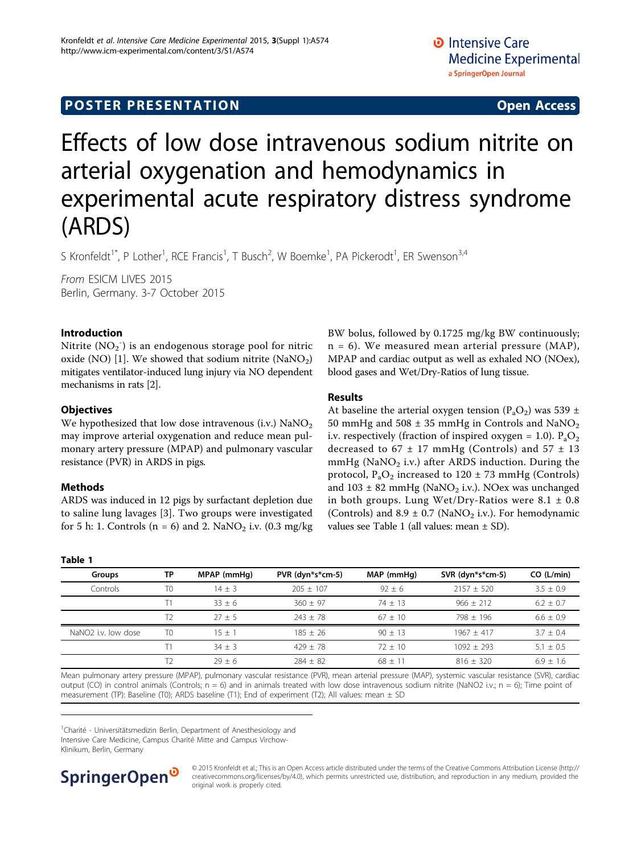# **POSTER PRESENTATION CONSUMING ACCESS**

# Effects of low dose intravenous sodium nitrite on arterial oxygenation and hemodynamics in experimental acute respiratory distress syndrome (ARDS)

S Kronfeldt<sup>1\*</sup>, P Lother<sup>1</sup>, RCE Francis<sup>1</sup>, T Busch<sup>2</sup>, W Boemke<sup>1</sup>, PA Pickerodt<sup>1</sup>, ER Swenson<sup>3,4</sup>

From ESICM LIVES 2015 Berlin, Germany. 3-7 October 2015

# Introduction

Nitrite  $\text{(NO}_{2}\text{^-)}$  is an endogenous storage pool for nitric oxide (NO) [\[1](#page-1-0)]. We showed that sodium nitrite (NaNO<sub>2</sub>) mitigates ventilator-induced lung injury via NO dependent mechanisms in rats [\[2](#page-1-0)].

# **Objectives**

We hypothesized that low dose intravenous (i.v.)  $\text{NaNO}_2$ may improve arterial oxygenation and reduce mean pulmonary artery pressure (MPAP) and pulmonary vascular resistance (PVR) in ARDS in pigs.

# Methods

ARDS was induced in 12 pigs by surfactant depletion due to saline lung lavages [[3\]](#page-1-0). Two groups were investigated for 5 h: 1. Controls ( $n = 6$ ) and 2. NaNO<sub>2</sub> i.v. (0.3 mg/kg) BW bolus, followed by 0.1725 mg/kg BW continuously;  $n = 6$ ). We measured mean arterial pressure (MAP), MPAP and cardiac output as well as exhaled NO (NOex), blood gases and Wet/Dry-Ratios of lung tissue.

# Results

At baseline the arterial oxygen tension  $(P_aO_2)$  was 539 ± 50 mmHg and 508  $\pm$  35 mmHg in Controls and NaNO<sub>2</sub> i.v. respectively (fraction of inspired oxygen = 1.0).  $P_aO_2$ decreased to  $67 \pm 17$  mmHg (Controls) and  $57 \pm 13$ mmHg (NaNO<sub>2</sub> i.v.) after ARDS induction. During the protocol,  $P_aO_2$  increased to 120  $\pm$  73 mmHg (Controls) and  $103 \pm 82$  mmHg (NaNO<sub>2</sub> i.v.). NOex was unchanged in both groups. Lung Wet/Dry-Ratios were  $8.1 \pm 0.8$ (Controls) and  $8.9 \pm 0.7$  (NaNO<sub>2</sub> i.v.). For hemodynamic values see Table 1 (all values: mean ± SD).

## Table 1

| Groups                          | ТP             | MPAP (mmHg) | PVR (dyn*s*cm-5) | MAP (mmHq) | SVR (dyn*s*cm-5) | CO (L/min)    |
|---------------------------------|----------------|-------------|------------------|------------|------------------|---------------|
| Controls                        | T0             | $14 + 3$    | $205 + 107$      | $92 + 6$   | $2157 + 520$     | $3.5 + 0.9$   |
|                                 |                | $33 + 6$    | $360 + 97$       | $74 + 13$  | $966 + 212$      | $6.2 + 0.7$   |
|                                 |                | $27 + 5$    | $743 + 78$       | $67 + 10$  | $798 + 196$      | $6.6 + 0.9$   |
| NaNO <sub>2</sub> i.v. low dose | T <sub>0</sub> | $15 + 1$    | $185 + 26$       | $90 + 13$  | $1967 + 417$     | $3.7 + 0.4$   |
|                                 |                | $34 + 3$    | $429 + 78$       | $72 + 10$  | $1092 + 293$     | $5.1 + 0.5$   |
|                                 |                | $29 + 6$    | $284 + 82$       | $68 + 11$  | $816 + 320$      | $6.9 \pm 1.6$ |
|                                 |                |             |                  |            |                  |               |

Mean pulmonary artery pressure (MPAP), pulmonary vascular resistance (PVR), mean arterial pressure (MAP), systemic vascular resistance (SVR), cardiac output (CO) in control animals (Controls;  $n = 6$ ) and in animals treated with low dose intravenous sodium nitrite (NaNO2 i.v.;  $n = 6$ ); Time point of measurement (TP): Baseline (T0); ARDS baseline (T1); End of experiment (T2); All values: mean  $\pm$  SD

<sup>1</sup>Charité - Universitätsmedizin Berlin, Department of Anesthesiology and Intensive Care Medicine, Campus Charité Mitte and Campus Virchow-Klinikum, Berlin, Germany



© 2015 Kronfeldt et al.; This is an Open Access article distributed under the terms of the Creative Commons Attribution License [\(http://](http://creativecommons.org/licenses/by/4.0) [creativecommons.org/licenses/by/4.0](http://creativecommons.org/licenses/by/4.0)), which permits unrestricted use, distribution, and reproduction in any medium, provided the original work is properly cited.